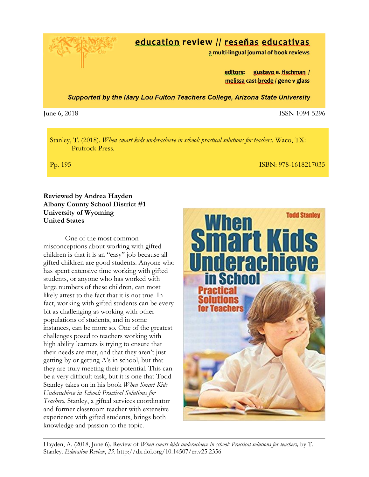

## education review // reseñas educativas

a multi-lingual journal of book reviews

editors: gustavo e. fischman / melissa cast-brede / gene v glass

**Supported by the Mary Lou Fulton Teachers College, Arizona State University** 

June 6, 2018 ISSN 1094-5296

Stanley, T. (2018). *When smart kids underachieve in school: practical solutions for teachers.* Waco, TX: Prufrock Press.

Pp. 195 ISBN: 978-1618217035

## **Reviewed by Andrea Hayden Albany County School District #1 University of Wyoming United States**

One of the most common misconceptions about working with gifted children is that it is an "easy" job because all gifted children are good students. Anyone who has spent extensive time working with gifted students, or anyone who has worked with large numbers of these children, can most likely attest to the fact that it is not true. In fact, working with gifted students can be every bit as challenging as working with other populations of students, and in some instances, can be more so. One of the greatest challenges posed to teachers working with high ability learners is trying to ensure that their needs are met, and that they aren't just getting by or getting A's in school, but that they are truly meeting their potential. This can be a very difficult task, but it is one that Todd Stanley takes on in his book *When Smart Kids Underachieve in School: Practical Solutions for Teachers*. Stanley, a gifted services coordinator and former classroom teacher with extensive experience with gifted students, brings both knowledge and passion to the topic.



Hayden, A. (2018, June 6). Review of *When smart kids underachieve in school: Practical solutions for teachers,* by T. Stanley. *Education Review*, *25*. http://dx.doi.org/10.14507/er.v25.2356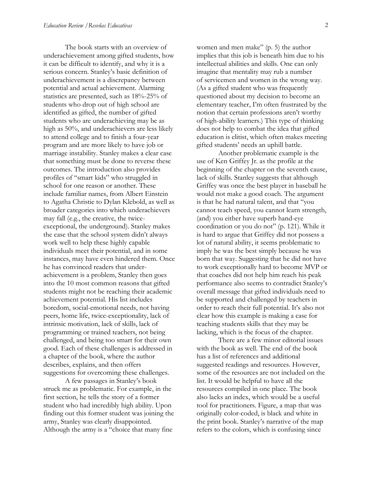The book starts with an overview of underachievement among gifted students, how it can be difficult to identify, and why it is a serious concern. Stanley's basic definition of underachievement is a discrepancy between potential and actual achievement. Alarming statistics are presented, such as 18%-25% of students who drop out of high school are identified as gifted, the number of gifted students who are underachieving may be as high as 50%, and underachievers are less likely to attend college and to finish a four-year program and are more likely to have job or marriage instability. Stanley makes a clear case that something must be done to reverse these outcomes. The introduction also provides profiles of "smart kids" who struggled in school for one reason or another. These include familiar names, from Albert Einstein to Agatha Christie to Dylan Klebold, as well as broader categories into which underachievers may fall (e.g., the creative, the twiceexceptional, the underground). Stanley makes the case that the school system didn't always work well to help these highly capable individuals meet their potential, and in some instances, may have even hindered them. Once he has convinced readers that underachievement is a problem, Stanley then goes into the 10 most common reasons that gifted students might not be reaching their academic achievement potential. His list includes boredom, social-emotional needs, not having peers, home life, twice-exceptionality, lack of intrinsic motivation, lack of skills, lack of programming or trained teachers, not being challenged, and being too smart for their own good. Each of these challenges is addressed in a chapter of the book, where the author describes, explains, and then offers suggestions for overcoming these challenges.

A few passages in Stanley's book struck me as problematic. For example, in the first section, he tells the story of a former student who had incredibly high ability. Upon finding out this former student was joining the army, Stanley was clearly disappointed. Although the army is a "choice that many fine

women and men make" (p. 5) the author implies that this job is beneath him due to his intellectual abilities and skills. One can only imagine that mentality may rub a number of servicemen and women in the wrong way. (As a gifted student who was frequently questioned about my decision to become an elementary teacher, I'm often frustrated by the notion that certain professions aren't worthy of high-ability learners.) This type of thinking does not help to combat the idea that gifted education is elitist, which often makes meeting gifted students' needs an uphill battle.

Another problematic example is the use of Ken Griffey Jr. as the profile at the beginning of the chapter on the seventh cause, lack of skills. Stanley suggests that although Griffey was once the best player in baseball he would not make a good coach. The argument is that he had natural talent, and that "you cannot teach speed, you cannot learn strength, (and) you either have superb hand-eye coordination or you do not" (p. 121). While it is hard to argue that Griffey did not possess a lot of natural ability, it seems problematic to imply he was the best simply because he was born that way. Suggesting that he did not have to work exceptionally hard to become MVP or that coaches did not help him reach his peak performance also seems to contradict Stanley's overall message that gifted individuals need to be supported and challenged by teachers in order to reach their full potential. It's also not clear how this example is making a case for teaching students skills that they may be lacking, which is the focus of the chapter.

There are a few minor editorial issues with the book as well. The end of the book has a list of references and additional suggested readings and resources. However, some of the resources are not included on the list. It would be helpful to have all the resources compiled in one place. The book also lacks an index, which would be a useful tool for practitioners. Figure, a map that was originally color-coded, is black and white in the print book. Stanley's narrative of the map refers to the colors, which is confusing since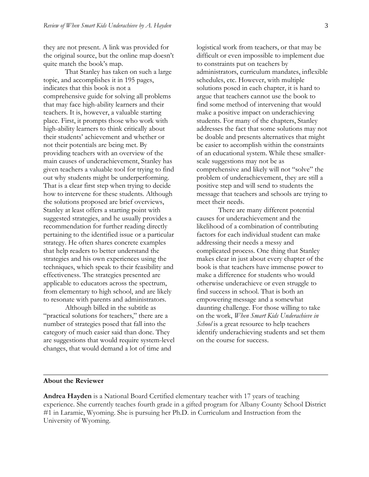they are not present. A link was provided for the original source, but the online map doesn't quite match the book's map.

That Stanley has taken on such a large topic, and accomplishes it in 195 pages, indicates that this book is not a comprehensive guide for solving all problems that may face high-ability learners and their teachers. It is, however, a valuable starting place. First, it prompts those who work with high-ability learners to think critically about their students' achievement and whether or not their potentials are being met. By providing teachers with an overview of the main causes of underachievement, Stanley has given teachers a valuable tool for trying to find out why students might be underperforming. That is a clear first step when trying to decide how to intervene for these students. Although the solutions proposed are brief overviews, Stanley at least offers a starting point with suggested strategies, and he usually provides a recommendation for further reading directly pertaining to the identified issue or a particular strategy. He often shares concrete examples that help readers to better understand the strategies and his own experiences using the techniques, which speak to their feasibility and effectiveness. The strategies presented are applicable to educators across the spectrum, from elementary to high school, and are likely to resonate with parents and administrators.

Although billed in the subtitle as "practical solutions for teachers," there are a number of strategies posed that fall into the category of much easier said than done. They are suggestions that would require system-level changes, that would demand a lot of time and

logistical work from teachers, or that may be difficult or even impossible to implement due to constraints put on teachers by administrators, curriculum mandates, inflexible schedules, etc. However, with multiple solutions posed in each chapter, it is hard to argue that teachers cannot use the book to find some method of intervening that would make a positive impact on underachieving students. For many of the chapters, Stanley addresses the fact that some solutions may not be doable and presents alternatives that might be easier to accomplish within the constraints of an educational system. While these smallerscale suggestions may not be as comprehensive and likely will not "solve" the problem of underachievement, they are still a positive step and will send to students the message that teachers and schools are trying to meet their needs.

There are many different potential causes for underachievement and the likelihood of a combination of contributing factors for each individual student can make addressing their needs a messy and complicated process. One thing that Stanley makes clear in just about every chapter of the book is that teachers have immense power to make a difference for students who would otherwise underachieve or even struggle to find success in school. That is both an empowering message and a somewhat daunting challenge. For those willing to take on the work, *When Smart Kids Underachieve in School* is a great resource to help teachers identify underachieving students and set them on the course for success.

## **About the Reviewer**

**Andrea Hayden** is a National Board Certified elementary teacher with 17 years of teaching experience. She currently teaches fourth grade in a gifted program for Albany County School District #1 in Laramie, Wyoming. She is pursuing her Ph.D. in Curriculum and Instruction from the University of Wyoming.